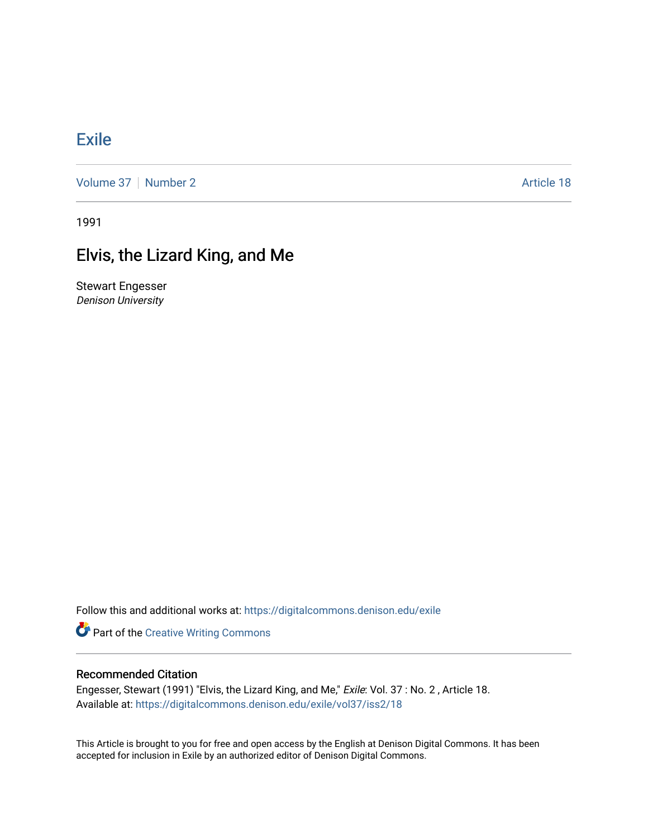## [Exile](https://digitalcommons.denison.edu/exile)

[Volume 37](https://digitalcommons.denison.edu/exile/vol37) | [Number 2](https://digitalcommons.denison.edu/exile/vol37/iss2) Article 18

1991

## Elvis, the Lizard King, and Me

Stewart Engesser Denison University

Follow this and additional works at: [https://digitalcommons.denison.edu/exile](https://digitalcommons.denison.edu/exile?utm_source=digitalcommons.denison.edu%2Fexile%2Fvol37%2Fiss2%2F18&utm_medium=PDF&utm_campaign=PDFCoverPages) 

**Part of the Creative Writing Commons** 

## Recommended Citation

Engesser, Stewart (1991) "Elvis, the Lizard King, and Me," Exile: Vol. 37 : No. 2, Article 18. Available at: [https://digitalcommons.denison.edu/exile/vol37/iss2/18](https://digitalcommons.denison.edu/exile/vol37/iss2/18?utm_source=digitalcommons.denison.edu%2Fexile%2Fvol37%2Fiss2%2F18&utm_medium=PDF&utm_campaign=PDFCoverPages)

This Article is brought to you for free and open access by the English at Denison Digital Commons. It has been accepted for inclusion in Exile by an authorized editor of Denison Digital Commons.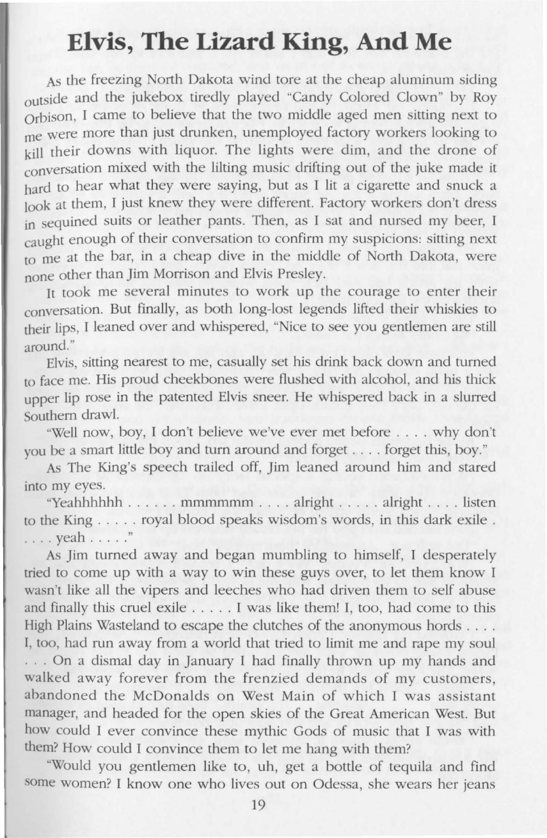## **Elvis, The Lizard King, And Me**

As the freezing North Dakota wind tore at the cheap aluminum siding outside and the jukebox tiredly played "Candy Colored Clown" by Roy Orbison, I came to believe that the two middle aged men sitting next to me were more than just drunken, unemployed factory workers looking to kill their downs with liquor. The lights were dim, and the drone of conversation mixed with the lilting music drifting out of the juke made it hard to hear what they were saying, but as I lit a cigarette and snuck a look at them, I just knew they were different. Factory workers don't dress in sequined suits or leather pants. Then, as I sat and nursed my beer, I caught enough of their conversation to confirm my suspicions: sitting next to me at the bar, in a cheap dive in the middle of North Dakota, were none other than Jim Morrison and Elvis Presley.

It took me several minutes to work up the courage to enter their conversation. But finally, as both long-lost legends lifted their whiskies to their lips, I leaned over and whispered, "Nice to see you gentlemen are still around."

Elvis, sitting nearest to me, casually set his drink back down and turned to face me. His proud cheekbones were flushed with alcohol, and his thick upper lip rose in the patented Elvis sneer. He whispered back in a slurred Southern drawl.

"Well now, boy, I don't believe we've ever met before .... why don't you be a smart little boy and turn around and forget .... forget this, boy. "

As The King's speech trailed off, Jim leaned around him and stared into my eyes.

"Yeahhhhhh ...... mmmmmm .... alright ..... alright .... listen to the King ..... royal blood speaks wisdom's words, in this dark exile . . . . . yeah ..... "

As Jim turned away and began mumbling to himself, I desperately tried to come up with a way to win these guys over, to let them know I wasn't like all the vipers and leeches who had driven them to self abuse and finally this cruel exile  $\dots$ . I was like them! I, too, had come to this High Plains Wasteland to escape the clutches of the anonymous hords . . . .

I, too, had run away from a world that tried to limit me and rape my soul ... On a dismal day in January I had finally thrown up my hands and walked away forever from the frenzied demands of my customers, abandoned the McDonalds on West Main of which I was assistant manager, and headed for the open skies of the Great American West. But how could I ever convince these mythic Gods of music that I was with them? How could I convince them to let me hang with them?

"Would you gentlemen like to, uh, get a bottle of tequila and find some women? I know one who lives out on Odessa, she wears her jeans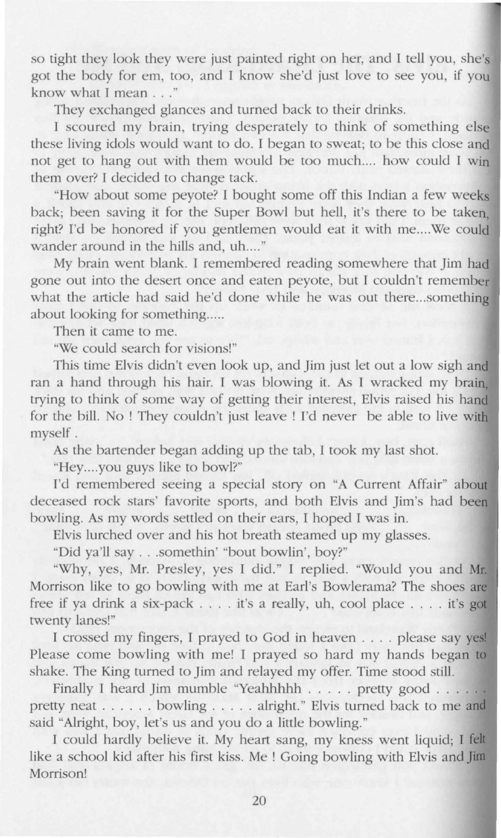so tight they look they were just painted right on her, and I tell you, she's got the body for em, too, and I know she'd just love to see you, if you know what I mean . . . "

They exchanged glances and turned back to their drinks.

I scoured my brain, trying desperately to think of something else these living idols would want to do. I began to sweat; to be this close and not get to hang out with them would be too much.... how could I win them over? I decided to change tack.

"How about some peyote? I bought some off this Indian a few weeks back; been saving it for the Super Bowl but hell, it's there to be taken, right? I'd be honored if you gentlemen would eat it with me....We could wander around in the hills and, uh...."

My brain went blank. I remembered reading somewhere that Jim had gone out into the desert once and eaten peyote, but I couldn't remember what the article had said he'd done while he was out there...something about looking for something.....

Then it came to me.

"We could search for visions!"

This time Elvis didn't even look up, and Jim just let out a low sigh **and**  ran a hand through his hair. I was blowing it. As I wracked my brain, trying to think of some way of getting their interest, Elvis raised his hand for the bill. No ! They couldn't just leave ! I'd never be able to live with myself.

As the bartender began adding up the tab, I took my last shot.

"Hey....you guys like to bowl?"

I'd remembered seeing a special story on "A Current Affair" about deceased rock stars' favorite sports, and both Elvis and Jim's had bee bowling. As my words settled on their ears, I hoped I was in.

Elvis lurched over and his hot breath steamed up my glasses.

"Did ya'll say .. . somethin' "bout bowlin', boy?"

"Why, yes, Mr. Presley, yes I did." I replied. "Would you and Mr. Morrison like to go bowling with me at Earl's Bowlerama? The shoes are free if ya drink a six-pack .... it's a really, uh, cool place .... it's **<sup>g</sup>** twenty lanes!"

I crossed my fingers, I prayed to God in heaven . . . . please say yes! Please come bowling with me! I prayed so hard my hands began to shake. The King turned to Jim and relayed my offer. Time stood still.

Finally I heard Jim mumble "Yeahhhhh . . . . . pretty good . . . . . . pretty neat . . . . . . bowling . . . . . alright." Elvis turned back to me and said "Alright, boy, let's us and you do a little bowling. "

I could hardly believe it. My heart sang, my kness went liquid; I **felt**  like a school kid after his first kiss. Me ! Going bowling with Elvis and Jim Morrison!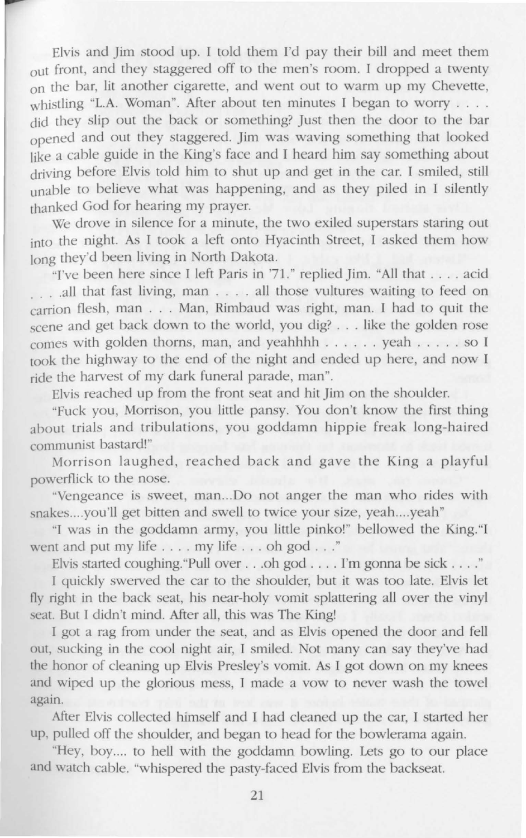Elvis and Jim stood up. I told them I'd pay their bill and meet them out front, and they staggered off to the men's room. I dropped a twenty on the bar, lit another cigarette, and went out to warm up my Chevette, whistling "L.A. Woman". After about ten minutes I began to worry . . . . did they slip out the back or something? Just then the door to the bar opened and out they staggered. Jim was waving something that looked like a cable guide in the King's face and I heard him say something about driving before Elvis told him to shut up and get in the car. I smiled, still unable to believe what was happening, and as they piled in I silently thanked God for hearing my prayer.

We drove in silence for a minute, the two exiled superstars staring out into the night. As I took a left onto Hyacinth Street, I asked them how long they'd been living in North Dakota.

"I've been here since I left Paris in '71." replied Jim. "All that .... acid ... .all that fast living, man ... . all those vultures waiting to feed on carrion flesh, man ... Man, Rimbaud was right, man. I had to quit the scene and get back down to the world, you dig? ... like the golden rose comes with golden thorns, man, and yeahhhh . .. ... yeah ..... so I took the highway to the end of the night and ended up here, and now I ride the harvest of my dark funeral parade, man".

Elvis reached up from the front eat and hit Jim on the shoulder.

"Fuck you, Morrison, you little pansy. You don't know the first thing about trials and tribulations, you goddamn hippie freak long-haired communist bastard!"

Morrison laughed, reached back and gave the King a playful powerflick to the nose.

··vengeance is sweet, man ... Do not anger the man who rides with snakes....you'll get bitten and swell to twice your size, yeah....yeah"

"I was in the goddamn army, you little pinko!" bellowed the King. "I went and put my life .... my life ... oh god ... "

Elvis started coughing. "Pull over . . . oh god . . . . I'm gonna be sick . . . ."

I quickly swerved the car to the shoulder, but it was too late. Elvis let fly right in the back seat, his near-holy vomit splattering all over the vinyl seat. But I didn't mind. After all, this was The King!

I got a rag from under the seat, and as Elvis opened the door and fell out, sucking in the cool night air, I smiled. Not many can say they've had the honor of cleaning up Elvis Presley's vomit. As I got down on my knees and wiped up the glorious mess, I made a vow to never wash the towel again.

After Elvis collected himself and I had cleaned up the car, I started her up, pulled off the shoulder, and began to head for the bowlerama again.

"Hey, boy .... to hell with the goddamn bowling. Lets go to our place and watch cable. "whispered the pasty-faced Elvis from the backseat.